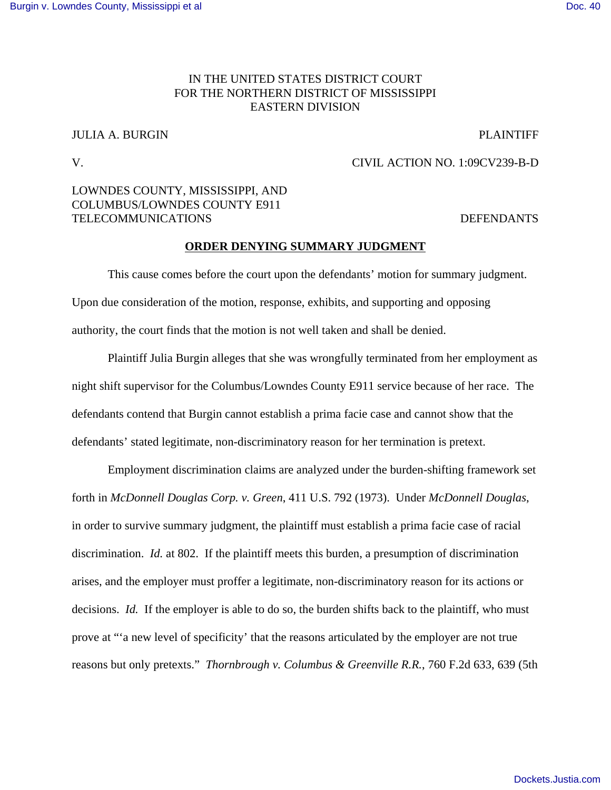## IN THE UNITED STATES DISTRICT COURT FOR THE NORTHERN DISTRICT OF MISSISSIPPI EASTERN DIVISION

# JULIA A. BURGIN PLAINTIFF

#### V. CIVIL ACTION NO. 1:09CV239-B-D

### LOWNDES COUNTY, MISSISSIPPI, AND COLUMBUS/LOWNDES COUNTY E911 TELECOMMUNICATIONS DEFENDANTS

### **ORDER DENYING SUMMARY JUDGMENT**

This cause comes before the court upon the defendants' motion for summary judgment. Upon due consideration of the motion, response, exhibits, and supporting and opposing authority, the court finds that the motion is not well taken and shall be denied.

Plaintiff Julia Burgin alleges that she was wrongfully terminated from her employment as night shift supervisor for the Columbus/Lowndes County E911 service because of her race. The defendants contend that Burgin cannot establish a prima facie case and cannot show that the defendants' stated legitimate, non-discriminatory reason for her termination is pretext.

Employment discrimination claims are analyzed under the burden-shifting framework set forth in *McDonnell Douglas Corp. v. Green*, 411 U.S. 792 (1973). Under *McDonnell Douglas*, in order to survive summary judgment, the plaintiff must establish a prima facie case of racial discrimination. *Id.* at 802. If the plaintiff meets this burden, a presumption of discrimination arises, and the employer must proffer a legitimate, non-discriminatory reason for its actions or decisions. *Id.* If the employer is able to do so, the burden shifts back to the plaintiff, who must prove at "'a new level of specificity' that the reasons articulated by the employer are not true reasons but only pretexts." *Thornbrough v. Columbus & Greenville R.R.*, 760 F.2d 633, 639 (5th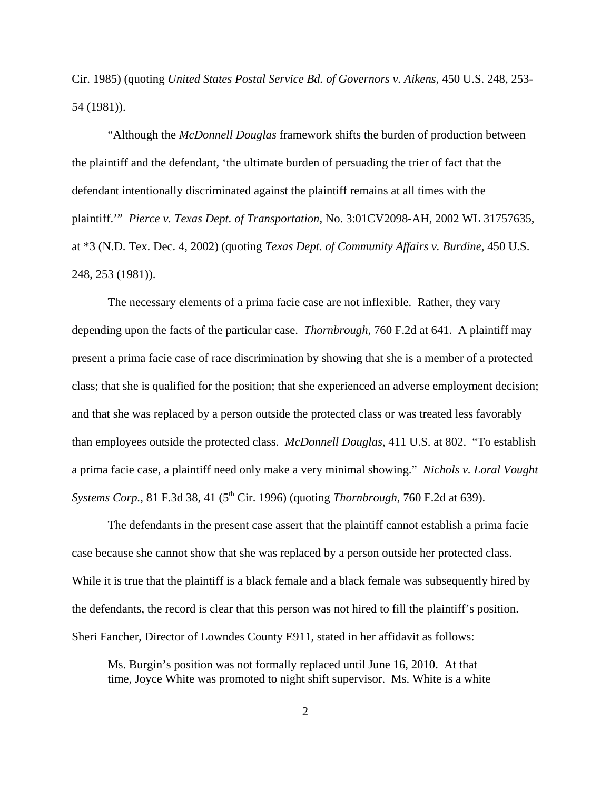Cir. 1985) (quoting *United States Postal Service Bd. of Governors v. Aikens*, 450 U.S. 248, 253- 54 (1981)).

"Although the *McDonnell Douglas* framework shifts the burden of production between the plaintiff and the defendant, 'the ultimate burden of persuading the trier of fact that the defendant intentionally discriminated against the plaintiff remains at all times with the plaintiff.'" *Pierce v. Texas Dept. of Transportation*, No. 3:01CV2098-AH, 2002 WL 31757635, at \*3 (N.D. Tex. Dec. 4, 2002) (quoting *Texas Dept. of Community Affairs v. Burdine*, 450 U.S. 248, 253 (1981)).

The necessary elements of a prima facie case are not inflexible. Rather, they vary depending upon the facts of the particular case. *Thornbrough*, 760 F.2d at 641. A plaintiff may present a prima facie case of race discrimination by showing that she is a member of a protected class; that she is qualified for the position; that she experienced an adverse employment decision; and that she was replaced by a person outside the protected class or was treated less favorably than employees outside the protected class. *McDonnell Douglas*, 411 U.S. at 802. "To establish a prima facie case, a plaintiff need only make a very minimal showing." *Nichols v. Loral Vought Systems Corp.*, 81 F.3d 38, 41 (5<sup>th</sup> Cir. 1996) (quoting *Thornbrough*, 760 F.2d at 639).

The defendants in the present case assert that the plaintiff cannot establish a prima facie case because she cannot show that she was replaced by a person outside her protected class. While it is true that the plaintiff is a black female and a black female was subsequently hired by the defendants, the record is clear that this person was not hired to fill the plaintiff's position. Sheri Fancher, Director of Lowndes County E911, stated in her affidavit as follows:

Ms. Burgin's position was not formally replaced until June 16, 2010. At that time, Joyce White was promoted to night shift supervisor. Ms. White is a white